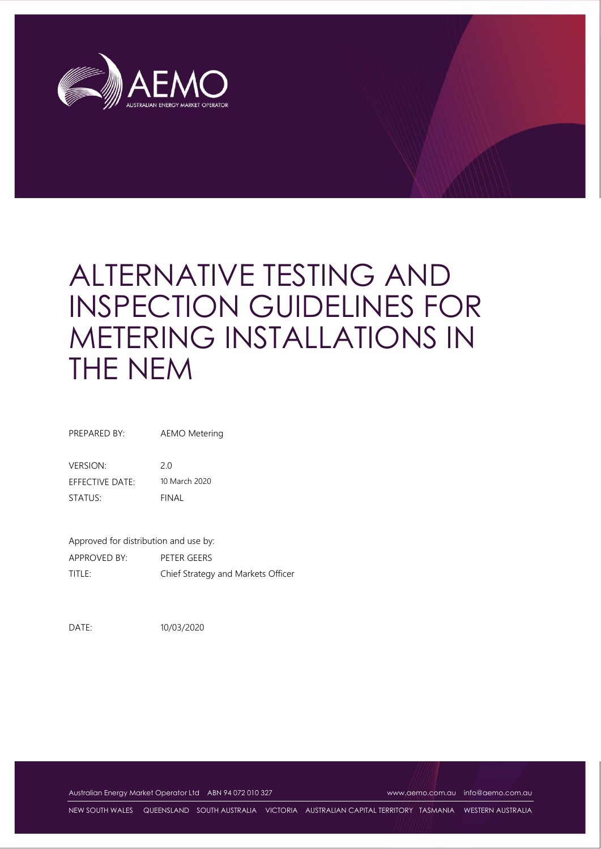

# ALTERNATIVE TESTING AND INSPECTION GUIDELINES FOR METERING INSTALLATIONS IN THE NEM

PREPARED BY: AEMO Metering

VERSION: 2.0 EFFECTIVE DATE: 10 March 2020 STATUS: FINAL

Approved for distribution and use by: APPROVED BY: PETER GEERS TITLE: Chief Strategy and Markets Officer

DATE: 10/03/2020

Australian Energy Market Operator Ltd ABN 94 072 010 327 [www.aemo.com.au](http://www.aemo.com.au/) [info@aemo.com.au](mailto:info@aemo.com.au)

NEW SOUTH WALES QUEENSLAND SOUTH AUSTRALIA VICTORIA AUSTRALIAN CAPITAL TERRITORY TASMANIA WESTERN AUSTRALIA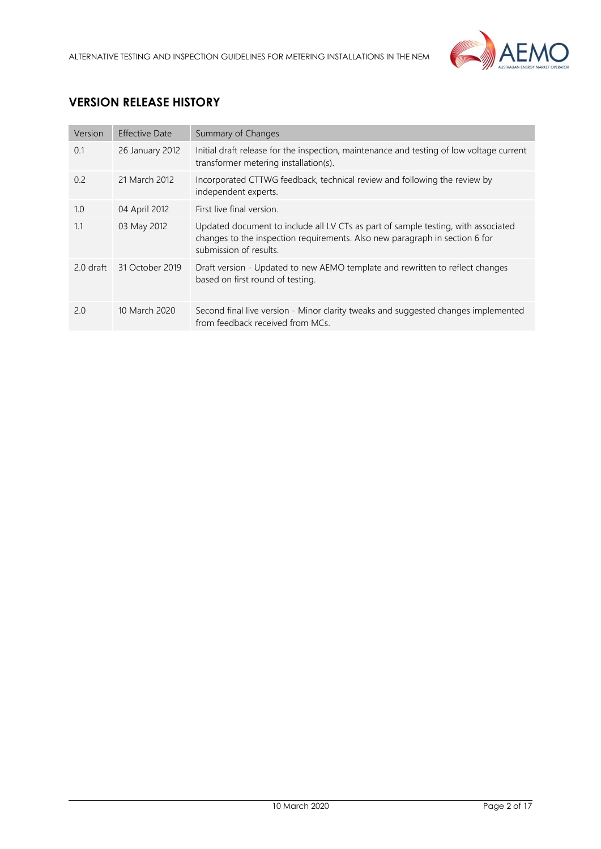

# **VERSION RELEASE HISTORY**

| Version     | <b>Effective Date</b> | Summary of Changes                                                                                                                                                                         |
|-------------|-----------------------|--------------------------------------------------------------------------------------------------------------------------------------------------------------------------------------------|
| 0.1         | 26 January 2012       | Initial draft release for the inspection, maintenance and testing of low voltage current<br>transformer metering installation(s).                                                          |
| 0.2         | 21 March 2012         | Incorporated CTTWG feedback, technical review and following the review by<br>independent experts.                                                                                          |
| 1.0         | 04 April 2012         | First live final version.                                                                                                                                                                  |
| 1.1         | 03 May 2012           | Updated document to include all LV CTs as part of sample testing, with associated<br>changes to the inspection requirements. Also new paragraph in section 6 for<br>submission of results. |
| $2.0$ draft | 31 October 2019       | Draft version - Updated to new AEMO template and rewritten to reflect changes<br>based on first round of testing.                                                                          |
| 2.0         | 10 March 2020         | Second final live version - Minor clarity tweaks and suggested changes implemented<br>from feedback received from MCs.                                                                     |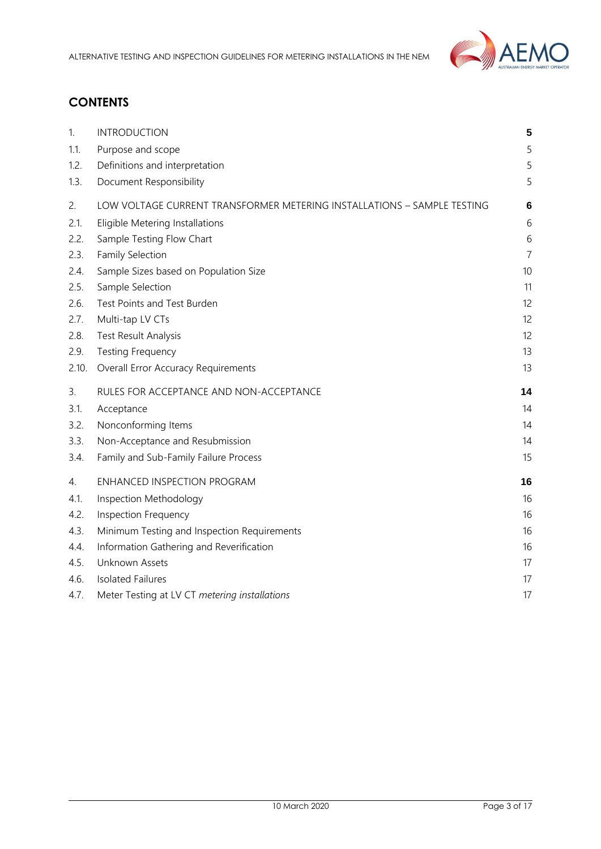

# **CONTENTS**

| 1.    | <b>INTRODUCTION</b>                                                     | 5              |
|-------|-------------------------------------------------------------------------|----------------|
| 1.1.  | Purpose and scope                                                       | 5              |
| 1.2.  | Definitions and interpretation                                          | 5              |
| 1.3.  | Document Responsibility                                                 | 5              |
| 2.    | LOW VOLTAGE CURRENT TRANSFORMER METERING INSTALLATIONS - SAMPLE TESTING | 6              |
| 2.1.  | Eligible Metering Installations                                         | 6              |
| 2.2.  | Sample Testing Flow Chart                                               | 6              |
| 2.3.  | Family Selection                                                        | $\overline{7}$ |
| 2.4.  | Sample Sizes based on Population Size                                   | 10             |
| 2.5.  | Sample Selection                                                        | 11             |
| 2.6.  | Test Points and Test Burden                                             | 12             |
| 2.7.  | Multi-tap LV CTs                                                        | 12             |
| 2.8.  | Test Result Analysis                                                    | 12             |
| 2.9.  | <b>Testing Frequency</b>                                                | 13             |
| 2.10. | <b>Overall Error Accuracy Requirements</b>                              | 13             |
| 3.    | RULES FOR ACCEPTANCE AND NON-ACCEPTANCE                                 | 14             |
| 3.1.  | Acceptance                                                              | 14             |
| 3.2.  | Nonconforming Items                                                     | 14             |
| 3.3.  | Non-Acceptance and Resubmission                                         | 14             |
| 3.4.  | Family and Sub-Family Failure Process                                   | 15             |
| 4.    | ENHANCED INSPECTION PROGRAM                                             | 16             |
| 4.1.  | Inspection Methodology                                                  | 16             |
| 4.2.  | <b>Inspection Frequency</b>                                             | 16             |
| 4.3.  | Minimum Testing and Inspection Requirements                             | 16             |
| 4.4.  | Information Gathering and Reverification                                | 16             |
| 4.5.  | Unknown Assets                                                          | 17             |
| 4.6.  | <b>Isolated Failures</b>                                                | 17             |
| 4.7.  | Meter Testing at LV CT metering installations                           | 17             |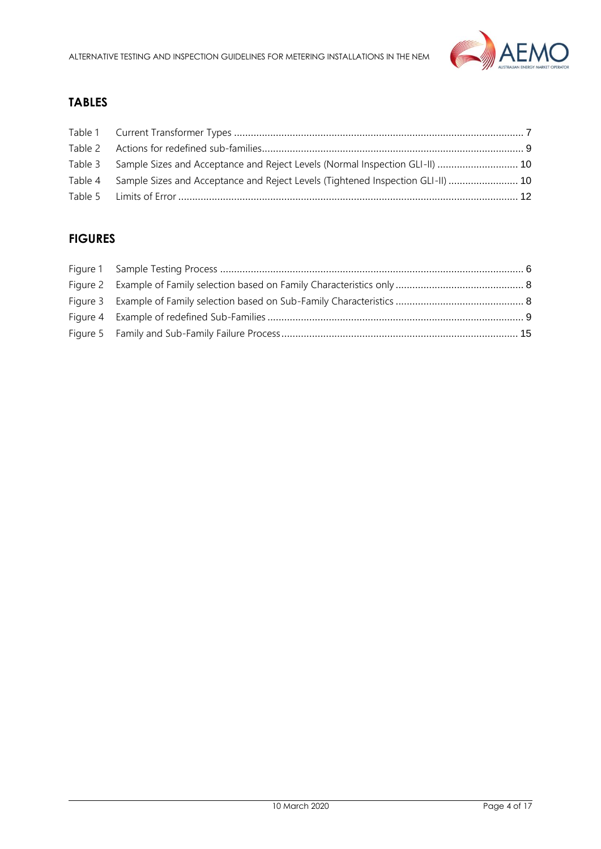

# **TABLES**

| Table 3 Sample Sizes and Acceptance and Reject Levels (Normal Inspection GLI-II)  10    |  |
|-----------------------------------------------------------------------------------------|--|
| Table 4 Sample Sizes and Acceptance and Reject Levels (Tightened Inspection GLI-II)  10 |  |
|                                                                                         |  |

## **FIGURES**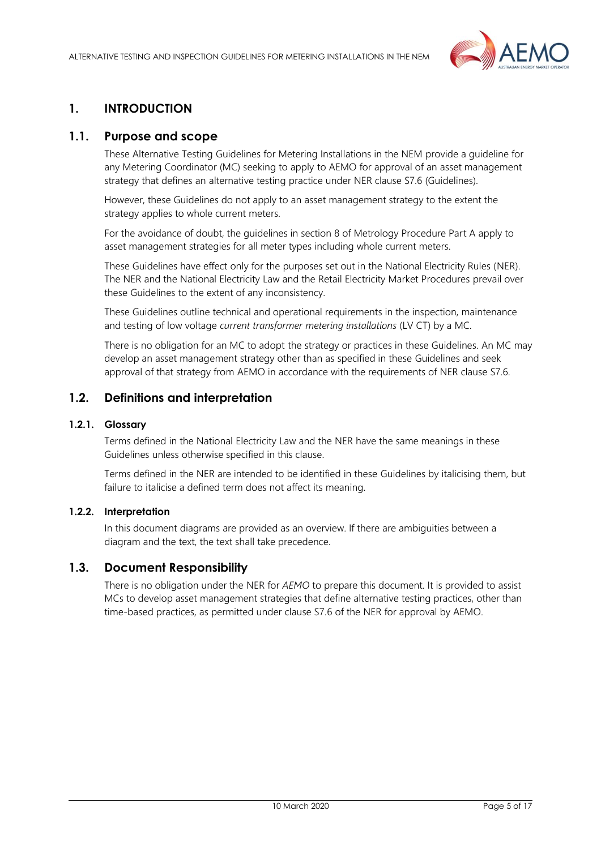

## <span id="page-4-0"></span>**1. INTRODUCTION**

## <span id="page-4-1"></span>**1.1. Purpose and scope**

These Alternative Testing Guidelines for Metering Installations in the NEM provide a guideline for any Metering Coordinator (MC) seeking to apply to AEMO for approval of an asset management strategy that defines an alternative testing practice under NER clause S7.6 (Guidelines).

However, these Guidelines do not apply to an asset management strategy to the extent the strategy applies to whole current meters.

For the avoidance of doubt, the guidelines in section 8 of Metrology Procedure Part A apply to asset management strategies for all meter types including whole current meters.

These Guidelines have effect only for the purposes set out in the National Electricity Rules (NER). The NER and the National Electricity Law and the Retail Electricity Market Procedures prevail over these Guidelines to the extent of any inconsistency.

These Guidelines outline technical and operational requirements in the inspection, maintenance and testing of low voltage *current transformer metering installations* (LV CT) by a MC.

There is no obligation for an MC to adopt the strategy or practices in these Guidelines. An MC may develop an asset management strategy other than as specified in these Guidelines and seek approval of that strategy from AEMO in accordance with the requirements of NER clause S7.6.

## <span id="page-4-2"></span>**1.2. Definitions and interpretation**

#### **1.2.1. Glossary**

Terms defined in the National Electricity Law and the NER have the same meanings in these Guidelines unless otherwise specified in this clause.

Terms defined in the NER are intended to be identified in these Guidelines by italicising them, but failure to italicise a defined term does not affect its meaning.

#### **1.2.2. Interpretation**

In this document diagrams are provided as an overview. If there are ambiguities between a diagram and the text, the text shall take precedence.

#### <span id="page-4-3"></span>**1.3. Document Responsibility**

There is no obligation under the NER for *AEMO* to prepare this document. It is provided to assist MCs to develop asset management strategies that define alternative testing practices, other than time-based practices, as permitted under clause S7.6 of the NER for approval by AEMO.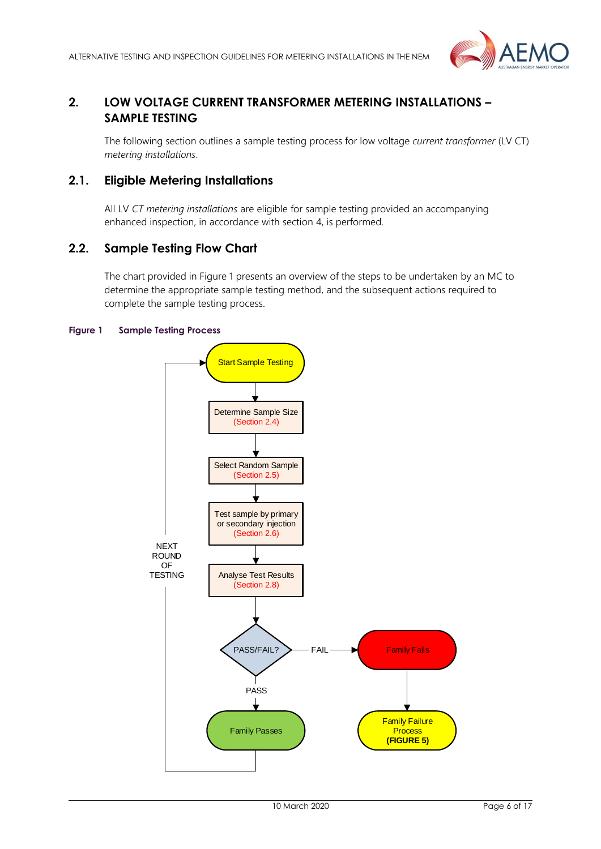

## <span id="page-5-0"></span>**2. LOW VOLTAGE CURRENT TRANSFORMER METERING INSTALLATIONS – SAMPLE TESTING**

The following section outlines a sample testing process for low voltage *current transformer* (LV CT) *metering installations*.

## <span id="page-5-1"></span>**2.1. Eligible Metering Installations**

All LV *CT metering installations* are eligible for sample testing provided an accompanying enhanced inspection, in accordance with section 4, is performed.

## <span id="page-5-2"></span>**2.2. Sample Testing Flow Chart**

The chart provided in Figure 1 presents an overview of the steps to be undertaken by an MC to determine the appropriate sample testing method, and the subsequent actions required to complete the sample testing process.

#### <span id="page-5-3"></span>**Figure 1 Sample Testing Process**

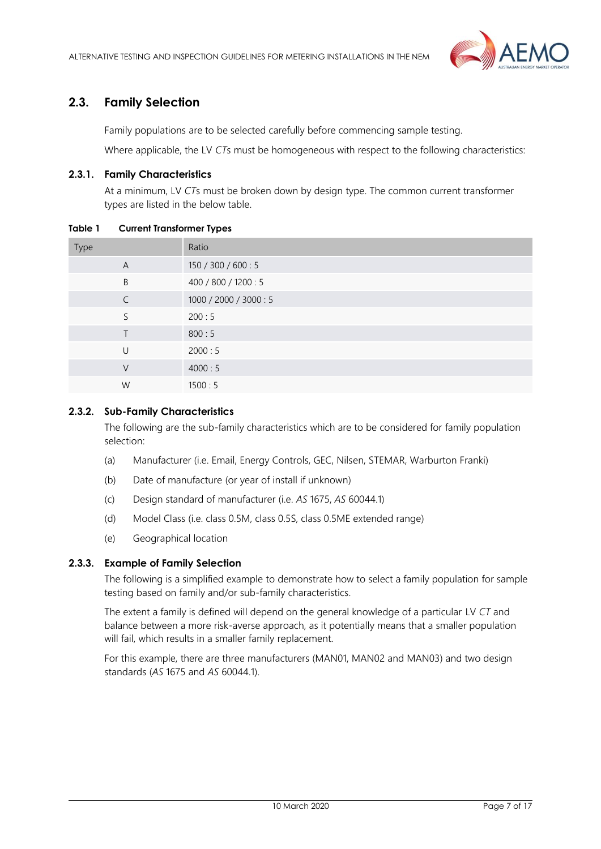

## <span id="page-6-0"></span>**2.3. Family Selection**

Family populations are to be selected carefully before commencing sample testing.

Where applicable, the LV *CT*s must be homogeneous with respect to the following characteristics:

#### **2.3.1. Family Characteristics**

At a minimum, LV *CT*s must be broken down by design type. The common current transformer types are listed in the below table.

Type Ratio A 150 / 300 / 600 : 5 B 400 / 800 / 1200 : 5 C 1000 / 2000 / 3000 : 5  $5$  200  $\cdot$  5 T 800 : 5 U 2000 : 5 V 4000 : 5 W 1500:5

#### <span id="page-6-1"></span>**Table 1 Current Transformer Types**

#### **2.3.2. Sub-Family Characteristics**

The following are the sub-family characteristics which are to be considered for family population selection:

- (a) Manufacturer (i.e. Email, Energy Controls, GEC, Nilsen, STEMAR, Warburton Franki)
- (b) Date of manufacture (or year of install if unknown)
- (c) Design standard of manufacturer (i.e. *AS* 1675, *AS* 60044.1)
- (d) Model Class (i.e. class 0.5M, class 0.5S, class 0.5ME extended range)
- (e) Geographical location

#### **2.3.3. Example of Family Selection**

The following is a simplified example to demonstrate how to select a family population for sample testing based on family and/or sub-family characteristics.

The extent a family is defined will depend on the general knowledge of a particular LV *CT* and balance between a more risk-averse approach, as it potentially means that a smaller population will fail, which results in a smaller family replacement.

For this example, there are three manufacturers (MAN01, MAN02 and MAN03) and two design standards (*AS* 1675 and *AS* 60044.1).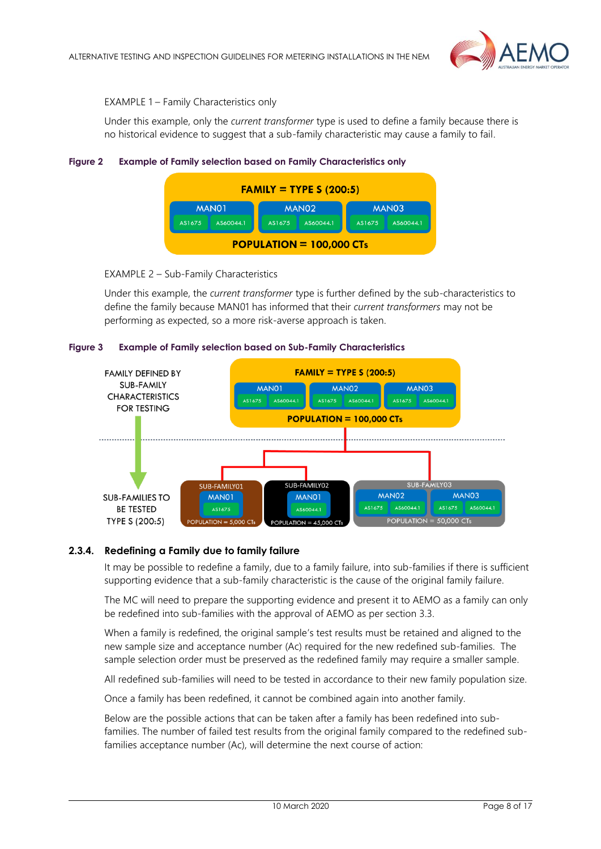

#### EXAMPLE 1 – Family Characteristics only

Under this example, only the *current transformer* type is used to define a family because there is no historical evidence to suggest that a sub-family characteristic may cause a family to fail.

#### <span id="page-7-0"></span>**Figure 2 Example of Family selection based on Family Characteristics only**



#### EXAMPLE 2 – Sub-Family Characteristics

Under this example, the *current transformer* type is further defined by the sub-characteristics to define the family because MAN01 has informed that their *current transformers* may not be performing as expected, so a more risk-averse approach is taken.

#### <span id="page-7-1"></span>**Figure 3 Example of Family selection based on Sub-Family Characteristics**



#### **2.3.4. Redefining a Family due to family failure**

It may be possible to redefine a family, due to a family failure, into sub-families if there is sufficient supporting evidence that a sub-family characteristic is the cause of the original family failure.

The MC will need to prepare the supporting evidence and present it to AEMO as a family can only be redefined into sub-families with the approval of AEMO as per section 3.3.

When a family is redefined, the original sample's test results must be retained and aligned to the new sample size and acceptance number (Ac) required for the new redefined sub-families. The sample selection order must be preserved as the redefined family may require a smaller sample.

All redefined sub-families will need to be tested in accordance to their new family population size.

Once a family has been redefined, it cannot be combined again into another family.

Below are the possible actions that can be taken after a family has been redefined into subfamilies. The number of failed test results from the original family compared to the redefined subfamilies acceptance number (Ac), will determine the next course of action: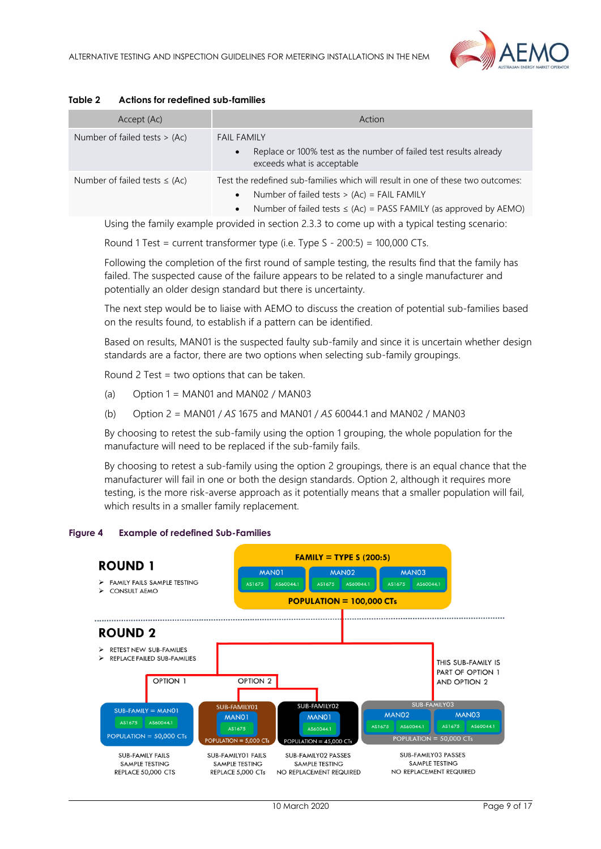

| Accept (Ac)                        | Action                                                                                                                                                                                                                               |
|------------------------------------|--------------------------------------------------------------------------------------------------------------------------------------------------------------------------------------------------------------------------------------|
| Number of failed tests $> (Ac)$    | <b>FAIL FAMILY</b><br>Replace or 100% test as the number of failed test results already<br>$\bullet$<br>exceeds what is acceptable                                                                                                   |
| Number of failed tests $\leq$ (Ac) | Test the redefined sub-families which will result in one of these two outcomes:<br>Number of failed tests $> (Ac) = FAIL FAMILY$<br>$\bullet$<br>Number of failed tests $\leq$ (Ac) = PASS FAMILY (as approved by AEMO)<br>$\bullet$ |

#### <span id="page-8-0"></span>**Table 2 Actions for redefined sub-families**

Using the family example provided in section 2.3.3 to come up with a typical testing scenario:

Round 1 Test = current transformer type (i.e. Type  $S - 200:5$ ) = 100,000 CTs.

Following the completion of the first round of sample testing, the results find that the family has failed. The suspected cause of the failure appears to be related to a single manufacturer and potentially an older design standard but there is uncertainty.

The next step would be to liaise with AEMO to discuss the creation of potential sub-families based on the results found, to establish if a pattern can be identified.

Based on results, MAN01 is the suspected faulty sub-family and since it is uncertain whether design standards are a factor, there are two options when selecting sub-family groupings.

Round 2 Test = two options that can be taken.

- (a) Option  $1 = MAN01$  and  $MAN02 / MAN03$
- (b) Option 2 = MAN01 / *AS* 1675 and MAN01 / *AS* 60044.1 and MAN02 / MAN03

By choosing to retest the sub-family using the option 1 grouping, the whole population for the manufacture will need to be replaced if the sub-family fails.

By choosing to retest a sub-family using the option 2 groupings, there is an equal chance that the manufacturer will fail in one or both the design standards. Option 2, although it requires more testing, is the more risk-averse approach as it potentially means that a smaller population will fail, which results in a smaller family replacement.

<span id="page-8-1"></span>

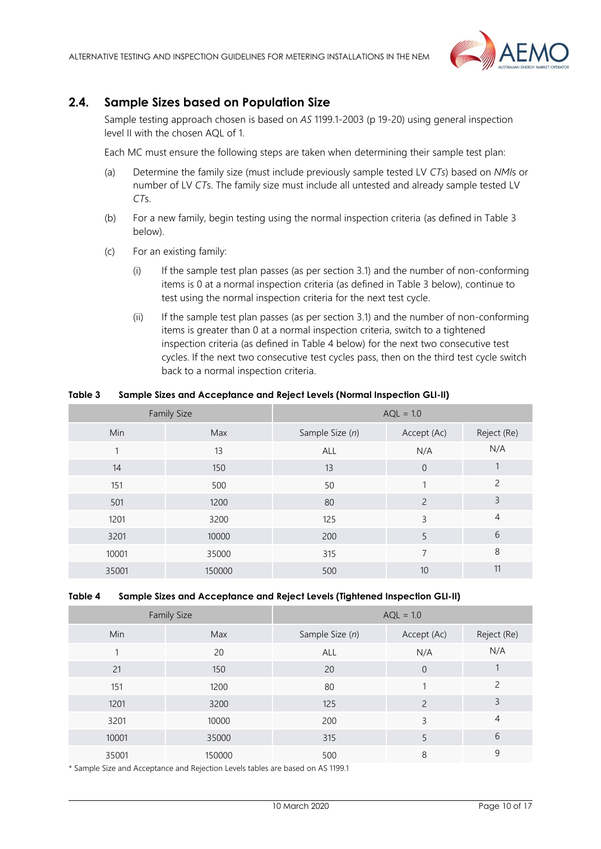

## <span id="page-9-0"></span>**2.4. Sample Sizes based on Population Size**

Sample testing approach chosen is based on *AS* 1199.1-2003 (p 19-20) using general inspection level II with the chosen AQL of 1.

Each MC must ensure the following steps are taken when determining their sample test plan:

- (a) Determine the family size (must include previously sample tested LV *CTs*) based on *NMI*s or number of LV *CT*s. The family size must include all untested and already sample tested LV *CT*s.
- (b) For a new family, begin testing using the normal inspection criteria (as defined in Table 3 below).
- (c) For an existing family:
	- (i) If the sample test plan passes (as per section 3.1) and the number of non-conforming items is 0 at a normal inspection criteria (as defined in Table 3 below), continue to test using the normal inspection criteria for the next test cycle.
	- (ii) If the sample test plan passes (as per section 3.1) and the number of non-conforming items is greater than 0 at a normal inspection criteria, switch to a tightened inspection criteria (as defined in Table 4 below) for the next two consecutive test cycles. If the next two consecutive test cycles pass, then on the third test cycle switch back to a normal inspection criteria.

#### <span id="page-9-1"></span>**Table 3 Sample Sizes and Acceptance and Reject Levels (Normal Inspection GLI-II)**

| <b>Family Size</b> |        | $AQL = 1.0$     |                |                |
|--------------------|--------|-----------------|----------------|----------------|
| <b>Min</b>         | Max    | Sample Size (n) | Accept (Ac)    | Reject (Re)    |
|                    | 13     | <b>ALL</b>      | N/A            | N/A            |
| 14                 | 150    | 13              | $\overline{0}$ |                |
| 151                | 500    | 50              |                | $\overline{c}$ |
| 501                | 1200   | 80              | $\overline{c}$ | 3              |
| 1201               | 3200   | 125             | 3              | 4              |
| 3201               | 10000  | 200             | 5              | 6              |
| 10001              | 35000  | 315             | 7              | 8              |
| 35001              | 150000 | 500             | 10             | 11             |

#### <span id="page-9-2"></span>**Table 4 Sample Sizes and Acceptance and Reject Levels (Tightened Inspection GLI-II)**

| <b>Family Size</b> |        | $AQL = 1.0$     |                          |               |
|--------------------|--------|-----------------|--------------------------|---------------|
| Min                | Max    | Sample Size (n) | Accept (Ac)              | Reject (Re)   |
|                    | 20     | ALL             | N/A                      | N/A           |
| 21                 | 150    | 20              | $\overline{0}$           |               |
| 151                | 1200   | 80              |                          | $\mathcal{P}$ |
| 1201               | 3200   | 125             | $\overline{\phantom{0}}$ | 3             |
| 3201               | 10000  | 200             | 3                        | 4             |
| 10001              | 35000  | 315             | 5                        | 6             |
| 35001              | 150000 | 500             | 8                        | 9             |

\* Sample Size and Acceptance and Rejection Levels tables are based on AS 1199.1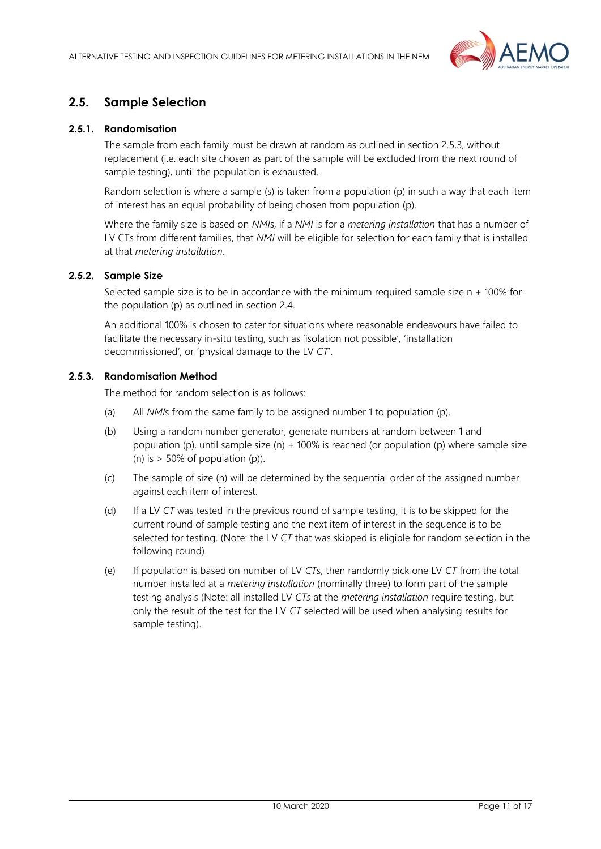

## <span id="page-10-0"></span>**2.5. Sample Selection**

#### **2.5.1. Randomisation**

The sample from each family must be drawn at random as outlined in section 2.5.3, without replacement (i.e. each site chosen as part of the sample will be excluded from the next round of sample testing), until the population is exhausted.

Random selection is where a sample (s) is taken from a population (p) in such a way that each item of interest has an equal probability of being chosen from population (p).

Where the family size is based on *NMI*s, if a *NMI* is for a *metering installation* that has a number of LV CTs from different families, that *NMI* will be eligible for selection for each family that is installed at that *metering installation*.

#### **2.5.2. Sample Size**

Selected sample size is to be in accordance with the minimum required sample size n + 100% for the population (p) as outlined in section 2.4.

An additional 100% is chosen to cater for situations where reasonable endeavours have failed to facilitate the necessary in-situ testing, such as 'isolation not possible', 'installation decommissioned', or 'physical damage to the LV *CT*'.

#### **2.5.3. Randomisation Method**

The method for random selection is as follows:

- (a) All *NMI*s from the same family to be assigned number 1 to population (p).
- (b) Using a random number generator, generate numbers at random between 1 and population (p), until sample size (n) + 100% is reached (or population (p) where sample size (n) is  $> 50\%$  of population (p)).
- (c) The sample of size (n) will be determined by the sequential order of the assigned number against each item of interest.
- (d) If a LV *CT* was tested in the previous round of sample testing, it is to be skipped for the current round of sample testing and the next item of interest in the sequence is to be selected for testing. (Note: the LV *CT* that was skipped is eligible for random selection in the following round).
- (e) If population is based on number of LV *CT*s, then randomly pick one LV *CT* from the total number installed at a *metering installation* (nominally three) to form part of the sample testing analysis (Note: all installed LV *CTs* at the *metering installation* require testing, but only the result of the test for the LV *CT* selected will be used when analysing results for sample testing).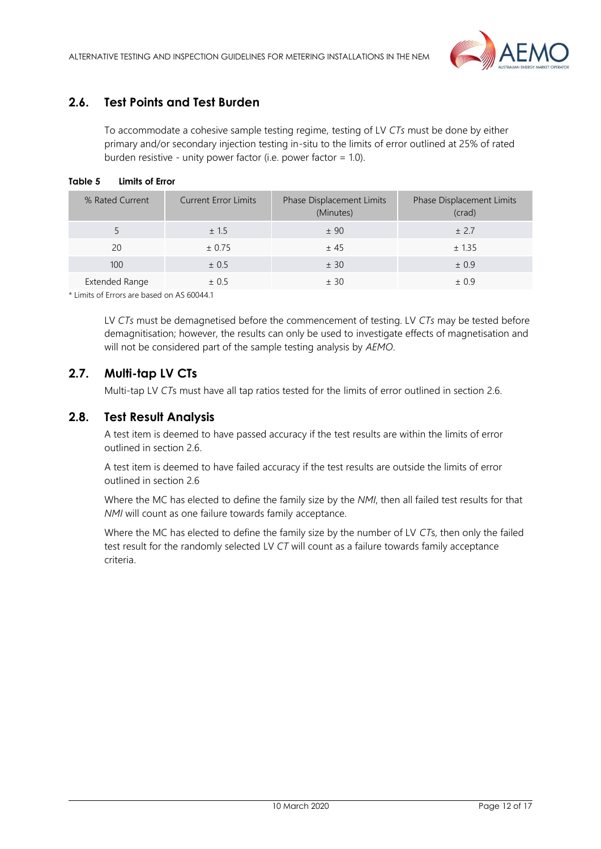

## <span id="page-11-0"></span>**2.6. Test Points and Test Burden**

To accommodate a cohesive sample testing regime, testing of LV *CTs* must be done by either primary and/or secondary injection testing in-situ to the limits of error outlined at 25% of rated burden resistive - unity power factor (i.e. power factor = 1.0).

#### <span id="page-11-3"></span>**Table 5 Limits of Error**

| % Rated Current | <b>Current Error Limits</b> | Phase Displacement Limits<br>(Minutes) | <b>Phase Displacement Limits</b><br>(crad) |
|-----------------|-----------------------------|----------------------------------------|--------------------------------------------|
|                 | ± 1.5                       | ± 90                                   | ± 2.7                                      |
| 20              | ± 0.75                      | ±45                                    | ± 1.35                                     |
| 100             | ± 0.5                       | ± 30                                   | ± 0.9                                      |
| Extended Range  | ± 0.5                       | ± 30                                   | ± 0.9                                      |

\* Limits of Errors are based on AS 60044.1

LV *CTs* must be demagnetised before the commencement of testing. LV *CTs* may be tested before demagnitisation; however, the results can only be used to investigate effects of magnetisation and will not be considered part of the sample testing analysis by *AEMO*.

## <span id="page-11-1"></span>**2.7. Multi-tap LV CTs**

Multi-tap LV *CT*s must have all tap ratios tested for the limits of error outlined in section 2.6.

## <span id="page-11-2"></span>**2.8. Test Result Analysis**

A test item is deemed to have passed accuracy if the test results are within the limits of error outlined in section 2.6.

A test item is deemed to have failed accuracy if the test results are outside the limits of error outlined in section 2.6

Where the MC has elected to define the family size by the *NMI*, then all failed test results for that *NMI* will count as one failure towards family acceptance.

Where the MC has elected to define the family size by the number of LV *CT*s, then only the failed test result for the randomly selected LV *CT* will count as a failure towards family acceptance criteria.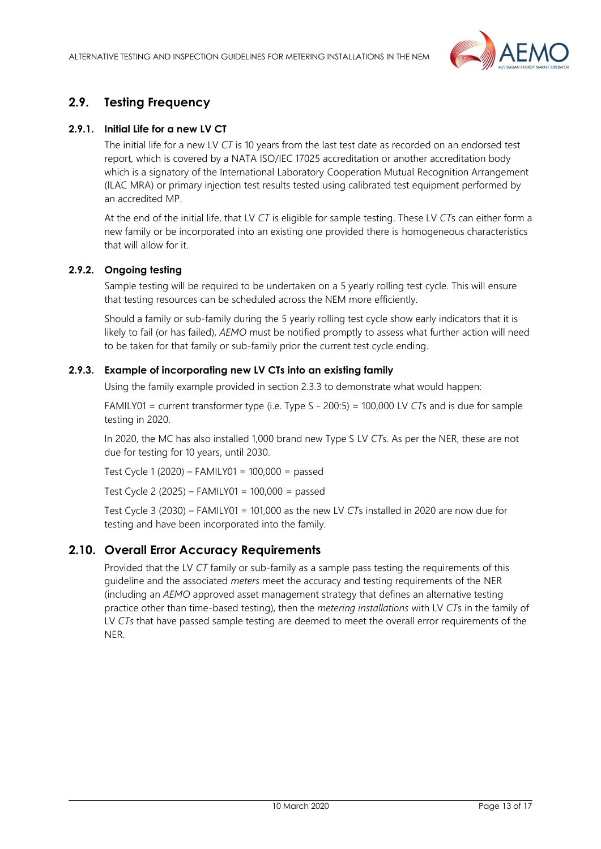

## <span id="page-12-0"></span>**2.9. Testing Frequency**

#### **2.9.1. Initial Life for a new LV CT**

The initial life for a new LV *CT* is 10 years from the last test date as recorded on an endorsed test report, which is covered by a NATA ISO/IEC 17025 accreditation or another accreditation body which is a signatory of the International Laboratory Cooperation Mutual Recognition Arrangement (ILAC MRA) or primary injection test results tested using calibrated test equipment performed by an accredited MP.

At the end of the initial life, that LV *CT* is eligible for sample testing. These LV *CT*s can either form a new family or be incorporated into an existing one provided there is homogeneous characteristics that will allow for it.

#### **2.9.2. Ongoing testing**

Sample testing will be required to be undertaken on a 5 yearly rolling test cycle. This will ensure that testing resources can be scheduled across the NEM more efficiently.

Should a family or sub-family during the 5 yearly rolling test cycle show early indicators that it is likely to fail (or has failed), *AEMO* must be notified promptly to assess what further action will need to be taken for that family or sub-family prior the current test cycle ending.

#### **2.9.3. Example of incorporating new LV CTs into an existing family**

Using the family example provided in section 2.3.3 to demonstrate what would happen:

FAMILY01 = current transformer type (i.e. Type S - 200:5) = 100,000 LV *CT*s and is due for sample testing in 2020.

In 2020, the MC has also installed 1,000 brand new Type S LV *CT*s. As per the NER, these are not due for testing for 10 years, until 2030.

Test Cycle 1 (2020) – FAMILY01 = 100,000 = passed

Test Cycle 2 (2025) – FAMILY01 = 100,000 = passed

Test Cycle 3 (2030) – FAMILY01 = 101,000 as the new LV *CT*s installed in 2020 are now due for testing and have been incorporated into the family.

## <span id="page-12-1"></span>**2.10. Overall Error Accuracy Requirements**

Provided that the LV *CT* family or sub-family as a sample pass testing the requirements of this guideline and the associated *meters* meet the accuracy and testing requirements of the NER (including an *AEMO* approved asset management strategy that defines an alternative testing practice other than time-based testing), then the *metering installations* with LV *CT*s in the family of LV *CTs* that have passed sample testing are deemed to meet the overall error requirements of the NER.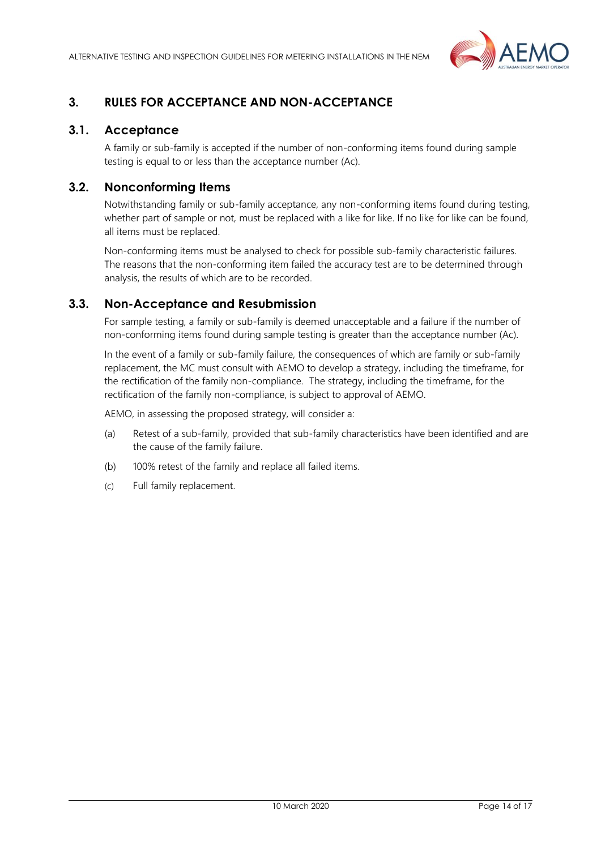

## <span id="page-13-0"></span>**3. RULES FOR ACCEPTANCE AND NON-ACCEPTANCE**

## <span id="page-13-1"></span>**3.1. Acceptance**

A family or sub-family is accepted if the number of non-conforming items found during sample testing is equal to or less than the acceptance number (Ac).

## <span id="page-13-2"></span>**3.2. Nonconforming Items**

Notwithstanding family or sub-family acceptance, any non-conforming items found during testing, whether part of sample or not, must be replaced with a like for like. If no like for like can be found, all items must be replaced.

Non-conforming items must be analysed to check for possible sub-family characteristic failures. The reasons that the non-conforming item failed the accuracy test are to be determined through analysis, the results of which are to be recorded.

## <span id="page-13-3"></span>**3.3. Non-Acceptance and Resubmission**

For sample testing, a family or sub-family is deemed unacceptable and a failure if the number of non-conforming items found during sample testing is greater than the acceptance number (Ac).

In the event of a family or sub-family failure, the consequences of which are family or sub-family replacement, the MC must consult with AEMO to develop a strategy, including the timeframe, for the rectification of the family non-compliance. The strategy, including the timeframe, for the rectification of the family non-compliance, is subject to approval of AEMO.

AEMO, in assessing the proposed strategy, will consider a:

- (a) Retest of a sub-family, provided that sub-family characteristics have been identified and are the cause of the family failure.
- (b) 100% retest of the family and replace all failed items.
- (c) Full family replacement.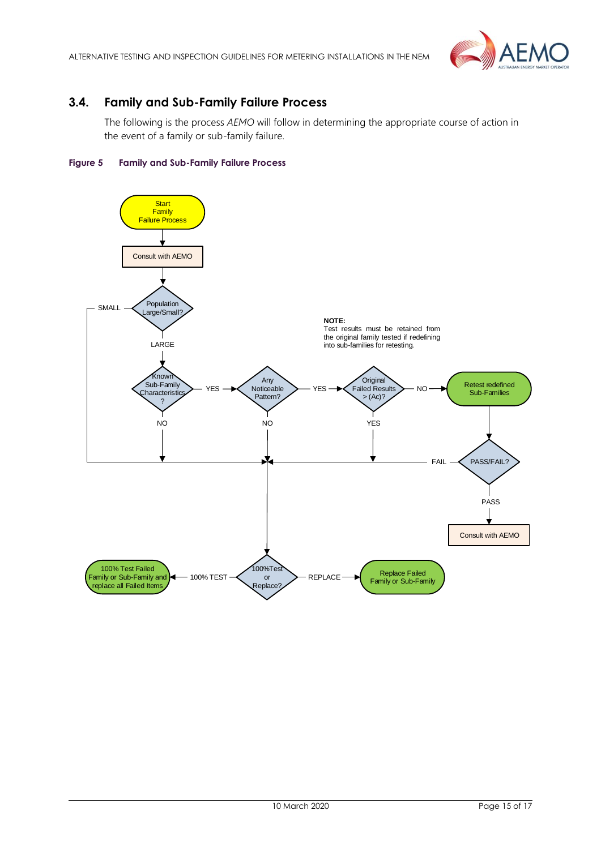

## <span id="page-14-0"></span>**3.4. Family and Sub-Family Failure Process**

The following is the process *AEMO* will follow in determining the appropriate course of action in the event of a family or sub-family failure.

#### <span id="page-14-1"></span>**Figure 5 Family and Sub-Family Failure Process**

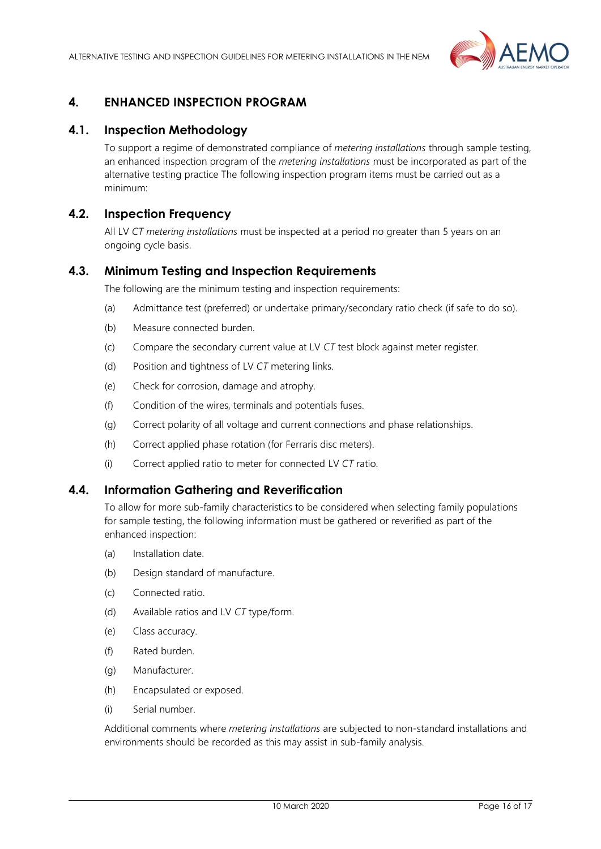

## <span id="page-15-0"></span>**4. ENHANCED INSPECTION PROGRAM**

## <span id="page-15-1"></span>**4.1. Inspection Methodology**

To support a regime of demonstrated compliance of *metering installations* through sample testing, an enhanced inspection program of the *metering installations* must be incorporated as part of the alternative testing practice The following inspection program items must be carried out as a minimum:

## <span id="page-15-2"></span>**4.2. Inspection Frequency**

All LV *CT metering installations* must be inspected at a period no greater than 5 years on an ongoing cycle basis.

#### <span id="page-15-3"></span>**4.3. Minimum Testing and Inspection Requirements**

The following are the minimum testing and inspection requirements:

- (a) Admittance test (preferred) or undertake primary/secondary ratio check (if safe to do so).
- (b) Measure connected burden.
- (c) Compare the secondary current value at LV *CT* test block against meter register.
- (d) Position and tightness of LV *CT* metering links.
- (e) Check for corrosion, damage and atrophy.
- (f) Condition of the wires, terminals and potentials fuses.
- (g) Correct polarity of all voltage and current connections and phase relationships.
- (h) Correct applied phase rotation (for Ferraris disc meters).
- (i) Correct applied ratio to meter for connected LV *CT* ratio.

#### <span id="page-15-4"></span>**4.4. Information Gathering and Reverification**

To allow for more sub-family characteristics to be considered when selecting family populations for sample testing, the following information must be gathered or reverified as part of the enhanced inspection:

- (a) Installation date.
- (b) Design standard of manufacture.
- (c) Connected ratio.
- (d) Available ratios and LV *CT* type/form.
- (e) Class accuracy.
- (f) Rated burden.
- (g) Manufacturer.
- (h) Encapsulated or exposed.
- (i) Serial number.

Additional comments where *metering installations* are subjected to non-standard installations and environments should be recorded as this may assist in sub-family analysis.